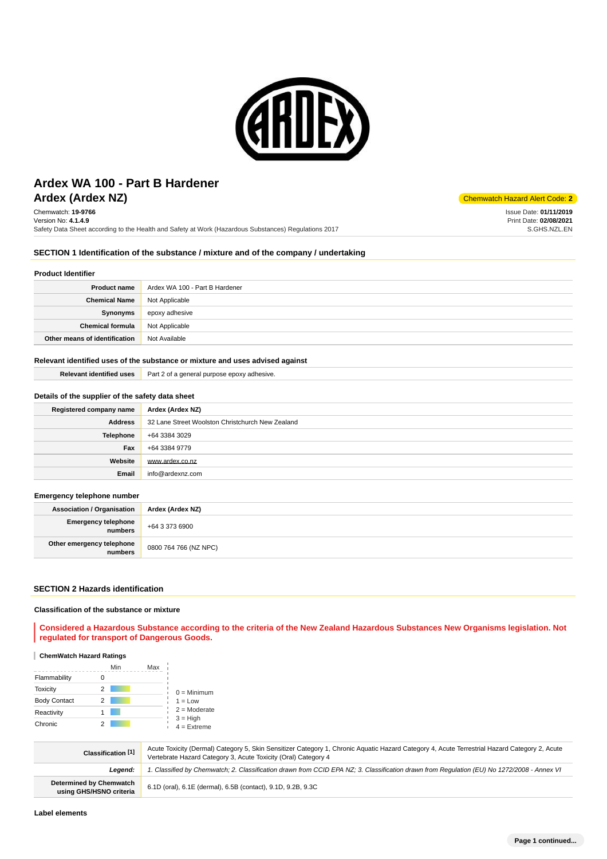

# **Ardex (Ardex NZ)** Chemwatch Hazard Alert Code: 2 **Ardex WA 100 - Part B Hardener**

Chemwatch: **19-9766** Version No: **4.1.4.9** Safety Data Sheet according to the Health and Safety at Work (Hazardous Substances) Regulations 2017

Issue Date: **01/11/2019** Print Date: **02/08/2021** S.GHS.NZL.EN

# **SECTION 1 Identification of the substance / mixture and of the company / undertaking**

#### **Product Identifier**

| <b>Product name</b>           | Ardex WA 100 - Part B Hardener |
|-------------------------------|--------------------------------|
| <b>Chemical Name</b>          | Not Applicable                 |
| Synonyms                      | epoxy adhesive                 |
| <b>Chemical formula</b>       | Not Applicable                 |
| Other means of identification | Not Available                  |

### **Relevant identified uses of the substance or mixture and uses advised against**

| Relevant identified uses | Part 2 of a general purpose epoxy adhesive. |
|--------------------------|---------------------------------------------|
|                          |                                             |

# **Details of the supplier of the safety data sheet**

| Registered company name | Ardex (Ardex NZ)                                 |
|-------------------------|--------------------------------------------------|
| <b>Address</b>          | 32 Lane Street Woolston Christchurch New Zealand |
| <b>Telephone</b>        | +64 3384 3029                                    |
| Fax                     | +64 3384 9779                                    |
| Website                 | www.ardex.co.nz                                  |
| Email                   | info@ardexnz.com                                 |

## **Emergency telephone number**

| <b>Association / Organisation</b>    | Ardex (Ardex NZ)      |
|--------------------------------------|-----------------------|
| Emergency telephone<br>numbers       | +64 3 373 6900        |
| Other emergency telephone<br>numbers | 0800 764 766 (NZ NPC) |

#### **SECTION 2 Hazards identification**

### **Classification of the substance or mixture**

# **Considered a Hazardous Substance according to the criteria of the New Zealand Hazardous Substances New Organisms legislation. Not regulated for transport of Dangerous Goods.**

# **ChemWatch Hazard Ratings**

|                     |   | Min<br>Max |                             |
|---------------------|---|------------|-----------------------------|
| Flammability        |   |            |                             |
| <b>Toxicity</b>     | 2 |            | $0 =$ Minimum               |
| <b>Body Contact</b> |   |            | $1 = Low$                   |
| Reactivity          |   |            | $2 =$ Moderate              |
| Chronic             |   |            | $3 = High$<br>$4 =$ Extreme |

| Classification [1]                                        | Acute Toxicity (Dermal) Category 5, Skin Sensitizer Category 1, Chronic Aguatic Hazard Category 4, Acute Terrestrial Hazard Category 2, Acute<br>Vertebrate Hazard Category 3, Acute Toxicity (Oral) Category 4 |
|-----------------------------------------------------------|-----------------------------------------------------------------------------------------------------------------------------------------------------------------------------------------------------------------|
| Leaend:                                                   | 1. Classified by Chemwatch; 2. Classification drawn from CCID EPA NZ; 3. Classification drawn from Requlation (EU) No 1272/2008 - Annex VI                                                                      |
| <b>Determined by Chemwatch</b><br>using GHS/HSNO criteria | 6.1D (oral), 6.1E (dermal), 6.5B (contact), 9.1D, 9.2B, 9.3C                                                                                                                                                    |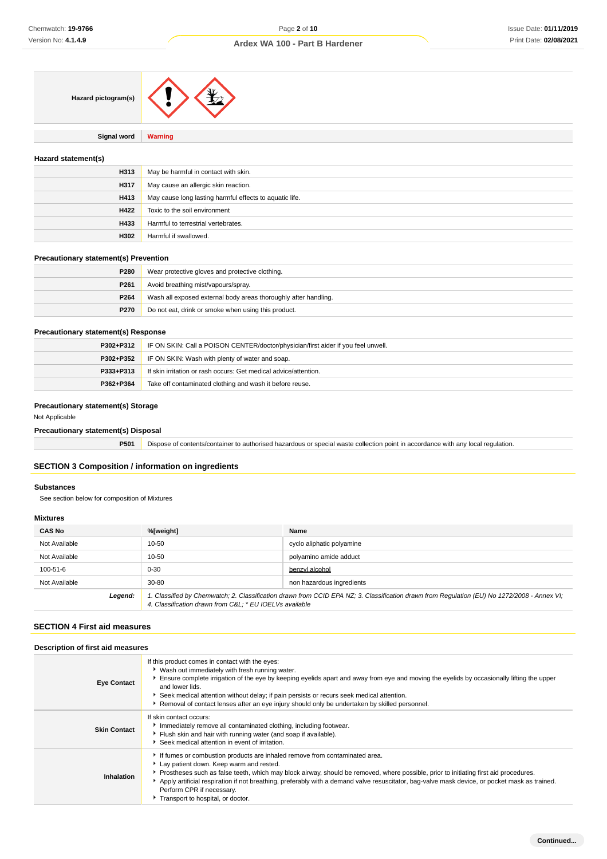| Hazard pictogram(s) |  |
|---------------------|--|
|                     |  |

**Signal word Warning**

# **Hazard statement(s)**

| H313 | May be harmful in contact with skin.                    |
|------|---------------------------------------------------------|
| H317 | May cause an allergic skin reaction.                    |
| H413 | May cause long lasting harmful effects to aquatic life. |
| H422 | Toxic to the soil environment                           |
| H433 | Harmful to terrestrial vertebrates.                     |
| H302 | Harmful if swallowed.                                   |

## **Precautionary statement(s) Prevention**

| P280             | Wear protective gloves and protective clothing.                 |
|------------------|-----------------------------------------------------------------|
| P <sub>261</sub> | Avoid breathing mist/vapours/spray.                             |
| P264             | Wash all exposed external body areas thoroughly after handling. |
| P270             | Do not eat, drink or smoke when using this product.             |

# **Precautionary statement(s) Response**

| P302+P312 | IF ON SKIN: Call a POISON CENTER/doctor/physician/first aider if you feel unwell. |
|-----------|-----------------------------------------------------------------------------------|
| P302+P352 | IF ON SKIN: Wash with plenty of water and soap.                                   |
| P333+P313 | If skin irritation or rash occurs: Get medical advice/attention.                  |
| P362+P364 | Take off contaminated clothing and wash it before reuse.                          |

## **Precautionary statement(s) Storage**

Not Applicable

# **Precautionary statement(s) Disposal**

**P501** Dispose of contents/container to authorised hazardous or special waste collection point in accordance with any local regulation.

# **SECTION 3 Composition / information on ingredients**

### **Substances**

See section below for composition of Mixtures

# **Mixtures**

| <b>CAS No</b> | %[weight]                                              | Name                                                                                                                                        |
|---------------|--------------------------------------------------------|---------------------------------------------------------------------------------------------------------------------------------------------|
| Not Available | 10-50                                                  | cyclo aliphatic polyamine                                                                                                                   |
| Not Available | 10-50                                                  | polyamino amide adduct                                                                                                                      |
| 100-51-6      | $0 - 30$                                               | benzyl alcohol                                                                                                                              |
| Not Available | 30-80                                                  | non hazardous ingredients                                                                                                                   |
| Legend:       | 4. Classification drawn from C&L * EU IOELVs available | 1. Classified by Chemwatch; 2. Classification drawn from CCID EPA NZ; 3. Classification drawn from Regulation (EU) No 1272/2008 - Annex VI; |

# **SECTION 4 First aid measures**

# **Description of first aid measures**

| <b>Eye Contact</b>  | If this product comes in contact with the eyes:<br>▶ Wash out immediately with fresh running water.<br>Ensure complete irrigation of the eye by keeping eyelids apart and away from eye and moving the eyelids by occasionally lifting the upper<br>and lower lids.<br>Seek medical attention without delay; if pain persists or recurs seek medical attention.<br>Removal of contact lenses after an eye injury should only be undertaken by skilled personnel.                   |
|---------------------|------------------------------------------------------------------------------------------------------------------------------------------------------------------------------------------------------------------------------------------------------------------------------------------------------------------------------------------------------------------------------------------------------------------------------------------------------------------------------------|
| <b>Skin Contact</b> | If skin contact occurs:<br>Immediately remove all contaminated clothing, including footwear.<br>Flush skin and hair with running water (and soap if available).<br>Seek medical attention in event of irritation.                                                                                                                                                                                                                                                                  |
| Inhalation          | If fumes or combustion products are inhaled remove from contaminated area.<br>Lay patient down. Keep warm and rested.<br>▶ Prostheses such as false teeth, which may block airway, should be removed, where possible, prior to initiating first aid procedures.<br>Apply artificial respiration if not breathing, preferably with a demand valve resuscitator, bag-valve mask device, or pocket mask as trained.<br>Perform CPR if necessary.<br>Transport to hospital, or doctor. |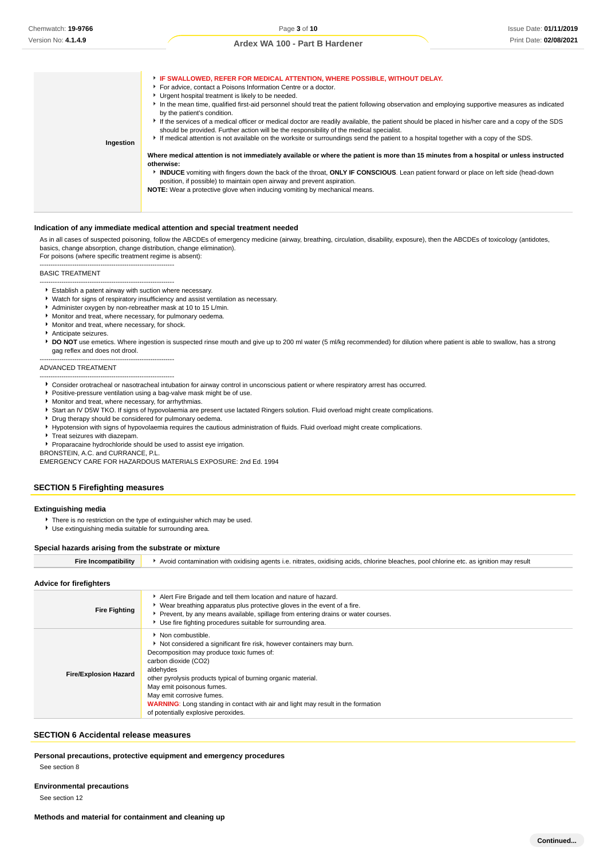# **Ingestion IF SWALLOWED, REFER FOR MEDICAL ATTENTION, WHERE POSSIBLE, WITHOUT DELAY.**  For advice, contact a Poisons Information Centre or a doctor. Urgent hospital treatment is likely to be needed. In the mean time, qualified first-aid personnel should treat the patient following observation and employing supportive measures as indicated by the patient's condition. If the services of a medical officer or medical doctor are readily available, the patient should be placed in his/her care and a copy of the SDS should be provided. Further action will be the responsibility of the medical specialist. If medical attention is not available on the worksite or surroundings send the patient to a hospital together with a copy of the SDS. **Where medical attention is not immediately available or where the patient is more than 15 minutes from a hospital or unless instructed otherwise: INDUCE** vomiting with fingers down the back of the throat, **ONLY IF CONSCIOUS**. Lean patient forward or place on left side (head-down position, if possible) to maintain open airway and prevent aspiration. **NOTE:** Wear a protective glove when inducing vomiting by mechanical means.

#### **Indication of any immediate medical attention and special treatment needed**

As in all cases of suspected poisoning, follow the ABCDEs of emergency medicine (airway, breathing, circulation, disability, exposure), then the ABCDEs of toxicology (antidotes, basics, change absorption, change distribution, change elimination).

For poisons (where specific treatment regime is absent): --------------------------------------------------------------

#### BASIC TREATMENT

#### -------------------------------------------------------------- Establish a patent airway with suction where necessary.

- Watch for signs of respiratory insufficiency and assist ventilation as necessary.
- Administer oxygen by non-rebreather mask at 10 to 15 L/min.
- Monitor and treat, where necessary, for pulmonary oedema.
- Monitor and treat, where necessary, for shock.

--------------------------------------------------------------

- Anticipate seizures.
- **P** DO NOT use emetics. Where ingestion is suspected rinse mouth and give up to 200 ml water (5 ml/kg recommended) for dilution where patient is able to swallow, has a strong gag reflex and does not drool.

#### ADVANCED TREATMENT

-------------------------------------------------------------- Consider orotracheal or nasotracheal intubation for airway control in unconscious patient or where respiratory arrest has occurred.

- **Positive-pressure ventilation using a bag-valve mask might be of use.**
- Monitor and treat, where necessary, for arrhythmias.
- Start an IV D5W TKO. If signs of hypovolaemia are present use lactated Ringers solution. Fluid overload might create complications.
- **P** Drug therapy should be considered for pulmonary oedema.
- Hypotension with signs of hypovolaemia requires the cautious administration of fluids. Fluid overload might create complications.
- **F** Treat seizures with diazepam.
- Proparacaine hydrochloride should be used to assist eye irrigation.

BRONSTEIN, A.C. and CURRANCE, P.L.

EMERGENCY CARE FOR HAZARDOUS MATERIALS EXPOSURE: 2nd Ed. 1994

### **SECTION 5 Firefighting measures**

### **Extinguishing media**

- There is no restriction on the type of extinguisher which may be used.
- Use extinguishing media suitable for surrounding area.

#### **Special hazards arising from the substrate or mixture**

**Fire Incompatibility Contamination with oxidising agents i.e. nitrates, oxidising acids, chlorine bleaches, pool chlorine etc. as ignition may result** 

#### **Advice for firefighters**

| <b>Fire Fighting</b>         | Alert Fire Brigade and tell them location and nature of hazard.<br>▶ Wear breathing apparatus plus protective gloves in the event of a fire.<br>▶ Prevent, by any means available, spillage from entering drains or water courses.<br>▶ Use fire fighting procedures suitable for surrounding area.                                                                                                                                     |
|------------------------------|-----------------------------------------------------------------------------------------------------------------------------------------------------------------------------------------------------------------------------------------------------------------------------------------------------------------------------------------------------------------------------------------------------------------------------------------|
| <b>Fire/Explosion Hazard</b> | Non combustible.<br>Not considered a significant fire risk, however containers may burn.<br>Decomposition may produce toxic fumes of:<br>carbon dioxide (CO2)<br>aldehydes<br>other pyrolysis products typical of burning organic material.<br>May emit poisonous fumes.<br>May emit corrosive fumes.<br><b>WARNING:</b> Long standing in contact with air and light may result in the formation<br>of potentially explosive peroxides. |

#### **SECTION 6 Accidental release measures**

**Personal precautions, protective equipment and emergency procedures**

See section 8

**Environmental precautions**

See section 12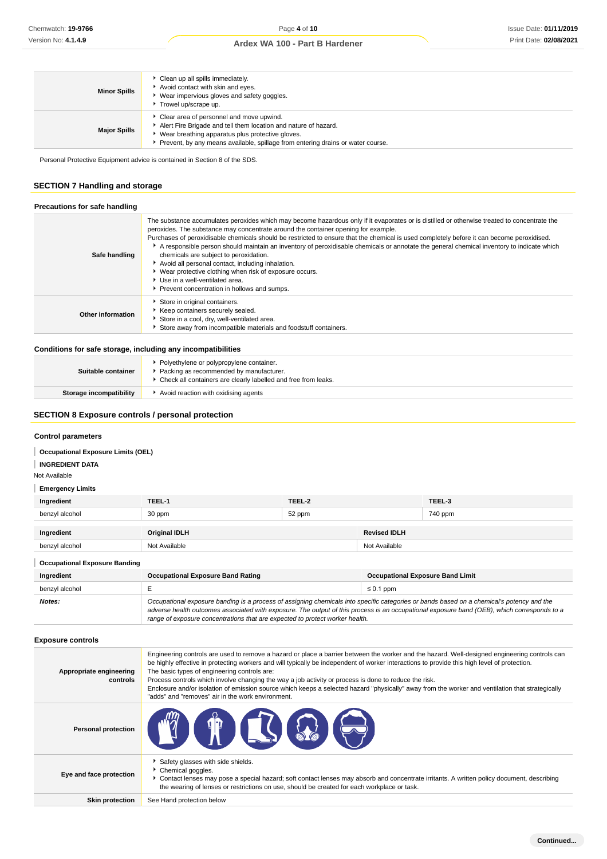| <b>Minor Spills</b> | Clean up all spills immediately.<br>Avoid contact with skin and eyes.<br>Wear impervious gloves and safety goggles.<br>Trowel up/scrape up.                                                                                                        |
|---------------------|----------------------------------------------------------------------------------------------------------------------------------------------------------------------------------------------------------------------------------------------------|
| <b>Major Spills</b> | Clear area of personnel and move upwind.<br>Alert Fire Brigade and tell them location and nature of hazard.<br>Wear breathing apparatus plus protective gloves.<br>Prevent, by any means available, spillage from entering drains or water course. |

Personal Protective Equipment advice is contained in Section 8 of the SDS.

# **SECTION 7 Handling and storage**

| Precautions for safe handling |                                                                                                                                                                                                                                                                                                                                                                                                                                                                                                                                                                                                                                                                                                                                                                             |
|-------------------------------|-----------------------------------------------------------------------------------------------------------------------------------------------------------------------------------------------------------------------------------------------------------------------------------------------------------------------------------------------------------------------------------------------------------------------------------------------------------------------------------------------------------------------------------------------------------------------------------------------------------------------------------------------------------------------------------------------------------------------------------------------------------------------------|
| Safe handling                 | The substance accumulates peroxides which may become hazardous only if it evaporates or is distilled or otherwise treated to concentrate the<br>peroxides. The substance may concentrate around the container opening for example.<br>Purchases of peroxidisable chemicals should be restricted to ensure that the chemical is used completely before it can become peroxidised.<br>A responsible person should maintain an inventory of peroxidisable chemicals or annotate the general chemical inventory to indicate which<br>chemicals are subject to peroxidation.<br>Avoid all personal contact, including inhalation.<br>▶ Wear protective clothing when risk of exposure occurs.<br>▶ Use in a well-ventilated area.<br>Prevent concentration in hollows and sumps. |
| Other information             | Store in original containers.<br>Keep containers securely sealed.<br>Store in a cool, dry, well-ventilated area.<br>Store away from incompatible materials and foodstuff containers.                                                                                                                                                                                                                                                                                                                                                                                                                                                                                                                                                                                        |
|                               |                                                                                                                                                                                                                                                                                                                                                                                                                                                                                                                                                                                                                                                                                                                                                                             |

## **Conditions for safe storage, including any incompatibilities**

| Suitable container      | ▶ Polyethylene or polypropylene container.<br>Packing as recommended by manufacturer.<br>• Check all containers are clearly labelled and free from leaks. |
|-------------------------|-----------------------------------------------------------------------------------------------------------------------------------------------------------|
| Storage incompatibility | Avoid reaction with oxidising agents                                                                                                                      |

# **SECTION 8 Exposure controls / personal protection**

## **Control parameters**

## **INGREDIENT DATA**

Not Available

# **Emergency Limits**

| Ingredient                           | TEEL-1               | TEEL-2 |                     | TEEL-3  |
|--------------------------------------|----------------------|--------|---------------------|---------|
| benzyl alcohol                       | 30 ppm               | 52 ppm |                     | 740 ppm |
|                                      |                      |        |                     |         |
| Ingredient                           | <b>Original IDLH</b> |        | <b>Revised IDLH</b> |         |
| benzyl alcohol                       | Not Available        |        | Not Available       |         |
| <b>Occupational Exposure Banding</b> |                      |        |                     |         |

| Ingredient     | <b>Occupational Exposure Band Rating</b>                                                                                                                                                                                                                                                                                                                                 | <b>Occupational Exposure Band Limit</b> |  |
|----------------|--------------------------------------------------------------------------------------------------------------------------------------------------------------------------------------------------------------------------------------------------------------------------------------------------------------------------------------------------------------------------|-----------------------------------------|--|
| benzyl alcohol |                                                                                                                                                                                                                                                                                                                                                                          | $\leq 0.1$ ppm                          |  |
| Notes:         | Occupational exposure banding is a process of assigning chemicals into specific categories or bands based on a chemical's potency and the<br>adverse health outcomes associated with exposure. The output of this process is an occupational exposure band (OEB), which corresponds to a<br>range of exposure concentrations that are expected to protect worker health. |                                         |  |

# **Exposure controls**

| Appropriate engineering<br>controls | Engineering controls are used to remove a hazard or place a barrier between the worker and the hazard. Well-designed engineering controls can<br>be highly effective in protecting workers and will typically be independent of worker interactions to provide this high level of protection.<br>The basic types of engineering controls are:<br>Process controls which involve changing the way a job activity or process is done to reduce the risk.<br>Enclosure and/or isolation of emission source which keeps a selected hazard "physically" away from the worker and ventilation that strategically<br>"adds" and "removes" air in the work environment. |
|-------------------------------------|-----------------------------------------------------------------------------------------------------------------------------------------------------------------------------------------------------------------------------------------------------------------------------------------------------------------------------------------------------------------------------------------------------------------------------------------------------------------------------------------------------------------------------------------------------------------------------------------------------------------------------------------------------------------|
| <b>Personal protection</b>          | <b>THESE</b><br><b>MY X</b>                                                                                                                                                                                                                                                                                                                                                                                                                                                                                                                                                                                                                                     |
| Eye and face protection             | Safety glasses with side shields.<br>Chemical goggles.<br>• Contact lenses may pose a special hazard; soft contact lenses may absorb and concentrate irritants. A written policy document, describing<br>the wearing of lenses or restrictions on use, should be created for each workplace or task.                                                                                                                                                                                                                                                                                                                                                            |
| <b>Skin protection</b>              | See Hand protection below                                                                                                                                                                                                                                                                                                                                                                                                                                                                                                                                                                                                                                       |
|                                     |                                                                                                                                                                                                                                                                                                                                                                                                                                                                                                                                                                                                                                                                 |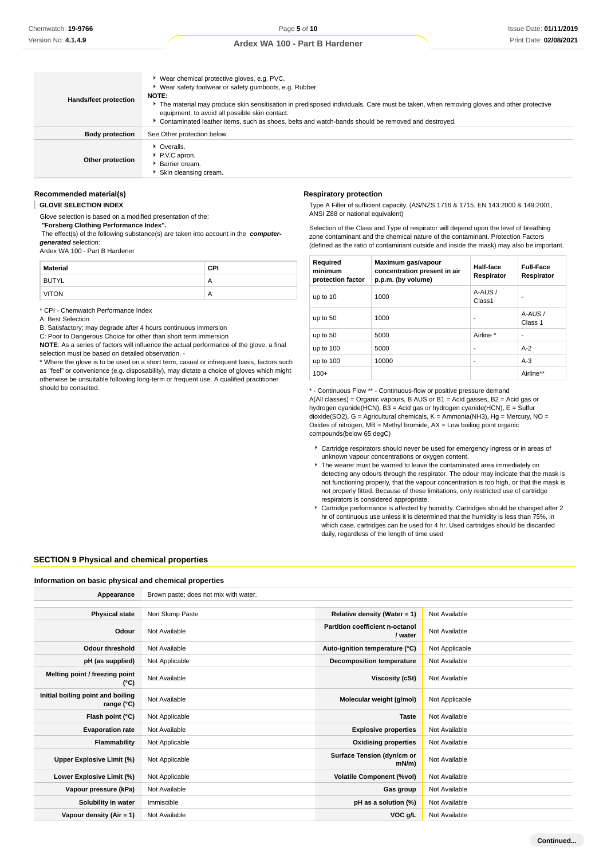| Hands/feet protection  | ▶ Wear chemical protective gloves, e.g. PVC.<br>▶ Wear safety footwear or safety gumboots, e.g. Rubber<br><b>NOTE:</b><br>The material may produce skin sensitisation in predisposed individuals. Care must be taken, when removing gloves and other protective<br>equipment, to avoid all possible skin contact.<br>Contaminated leather items, such as shoes, belts and watch-bands should be removed and destroyed. |
|------------------------|------------------------------------------------------------------------------------------------------------------------------------------------------------------------------------------------------------------------------------------------------------------------------------------------------------------------------------------------------------------------------------------------------------------------|
| <b>Body protection</b> | See Other protection below                                                                                                                                                                                                                                                                                                                                                                                             |
| Other protection       | • Overalls.<br>PV.C apron.<br>▶ Barrier cream.<br>Skin cleansing cream.                                                                                                                                                                                                                                                                                                                                                |

# **Recommended material(s)**

J. **GLOVE SELECTION INDEX**

Glove selection is based on a modified presentation of the:

 **"Forsberg Clothing Performance Index".**

 The effect(s) of the following substance(s) are taken into account in the **computergenerated** selection:

Ardex WA 100 - Part B Hardener

| <b>Material</b> | <b>CPI</b> |
|-----------------|------------|
| <b>BUTYL</b>    | A          |
| <b>VITON</b>    | A          |

\* CPI - Chemwatch Performance Index

A: Best Selection

B: Satisfactory; may degrade after 4 hours continuous immersion

C: Poor to Dangerous Choice for other than short term immersion

**NOTE**: As a series of factors will influence the actual performance of the glove, a final selection must be based on detailed observation. -

\* Where the glove is to be used on a short term, casual or infrequent basis, factors such as "feel" or convenience (e.g. disposability), may dictate a choice of gloves which might otherwise be unsuitable following long-term or frequent use. A qualified practitioner should be consulted.

## **Respiratory protection**

Type A Filter of sufficient capacity. (AS/NZS 1716 & 1715, EN 143:2000 & 149:2001, ANSI Z88 or national equivalent)

Selection of the Class and Type of respirator will depend upon the level of breathing zone contaminant and the chemical nature of the contaminant. Protection Factors (defined as the ratio of contaminant outside and inside the mask) may also be important.

| Required<br>minimum<br>protection factor | Maximum gas/vapour<br>concentration present in air<br>p.p.m. (by volume) | Half-face<br>Respirator | <b>Full-Face</b><br>Respirator |
|------------------------------------------|--------------------------------------------------------------------------|-------------------------|--------------------------------|
| up to 10                                 | 1000                                                                     | A-AUS /<br>Class1       |                                |
| up to 50                                 | 1000                                                                     | ٠                       | A-AUS/<br>Class 1              |
| up to 50                                 | 5000                                                                     | Airline *               |                                |
| up to $100$                              | 5000                                                                     | ٠                       | $A-2$                          |
| up to $100$                              | 10000                                                                    | ٠                       | $A-3$                          |
| $100+$                                   |                                                                          |                         | Airline**                      |

\* - Continuous Flow \*\* - Continuous-flow or positive pressure demand A(All classes) = Organic vapours, B AUS or  $B1 = Acid$  gasses, B2 = Acid gas or hydrogen cyanide(HCN), B3 = Acid gas or hydrogen cyanide(HCN), E = Sulfur dioxide(SO2), G = Agricultural chemicals, K = Ammonia(NH3), Hg = Mercury, NO = Oxides of nitrogen,  $MB = M$ ethyl bromide,  $AX = Low$  boiling point organic compounds(below 65 degC)

- Cartridge respirators should never be used for emergency ingress or in areas of unknown vapour concentrations or oxygen content.
- The wearer must be warned to leave the contaminated area immediately on detecting any odours through the respirator. The odour may indicate that the mask is not functioning properly, that the vapour concentration is too high, or that the mask is not properly fitted. Because of these limitations, only restricted use of cartridge respirators is considered appropriate.
- Cartridge performance is affected by humidity. Cartridges should be changed after 2 hr of continuous use unless it is determined that the humidity is less than 75%, in which case, cartridges can be used for 4 hr. Used cartridges should be discarded daily, regardless of the length of time used

### **SECTION 9 Physical and chemical properties**

**Information on basic physical and chemical properties**

| Appearance                                      | Brown paste; does not mix with water. |                                            |                |
|-------------------------------------------------|---------------------------------------|--------------------------------------------|----------------|
|                                                 |                                       |                                            |                |
| <b>Physical state</b>                           | Non Slump Paste                       | Relative density (Water = 1)               | Not Available  |
| Odour                                           | Not Available                         | Partition coefficient n-octanol<br>/ water | Not Available  |
| <b>Odour threshold</b>                          | Not Available                         | Auto-ignition temperature (°C)             | Not Applicable |
| pH (as supplied)                                | Not Applicable                        | Decomposition temperature                  | Not Available  |
| Melting point / freezing point<br>(°C)          | Not Available                         | Viscosity (cSt)                            | Not Available  |
| Initial boiling point and boiling<br>range (°C) | Not Available                         | Molecular weight (g/mol)                   | Not Applicable |
| Flash point (°C)                                | Not Applicable                        | <b>Taste</b>                               | Not Available  |
| <b>Evaporation rate</b>                         | Not Available                         | <b>Explosive properties</b>                | Not Available  |
| Flammability                                    | Not Applicable                        | <b>Oxidising properties</b>                | Not Available  |
| Upper Explosive Limit (%)                       | Not Applicable                        | Surface Tension (dyn/cm or<br>mN/m         | Not Available  |
| Lower Explosive Limit (%)                       | Not Applicable                        | <b>Volatile Component (%vol)</b>           | Not Available  |
| Vapour pressure (kPa)                           | Not Available                         | Gas group                                  | Not Available  |
| Solubility in water                             | Immiscible                            | pH as a solution (%)                       | Not Available  |
| Vapour density $(Air = 1)$                      | Not Available                         | VOC g/L                                    | Not Available  |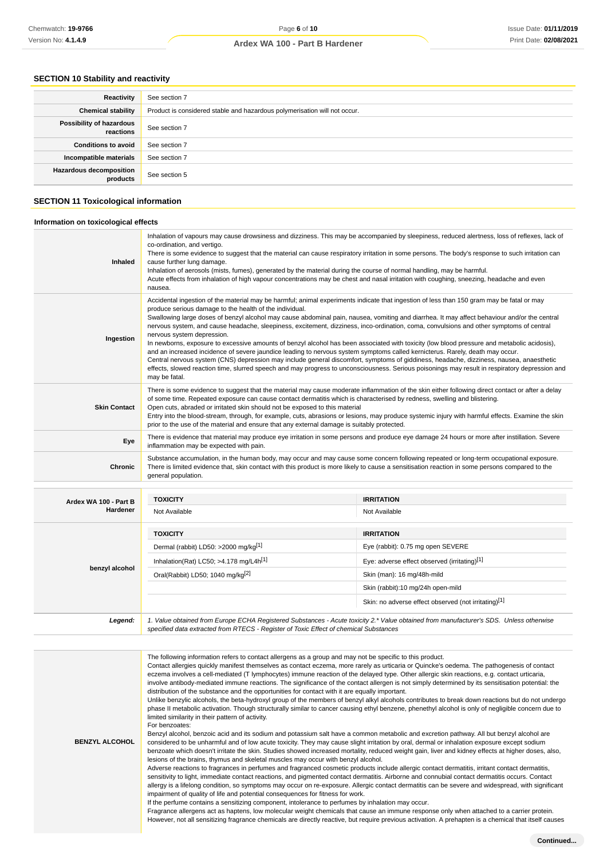# **SECTION 10 Stability and reactivity**

| Reactivity                                 | See section 7                                                             |
|--------------------------------------------|---------------------------------------------------------------------------|
| <b>Chemical stability</b>                  | Product is considered stable and hazardous polymerisation will not occur. |
| Possibility of hazardous<br>reactions      | See section 7                                                             |
| <b>Conditions to avoid</b>                 | See section 7                                                             |
| Incompatible materials                     | See section 7                                                             |
| <b>Hazardous decomposition</b><br>products | See section 5                                                             |

# **SECTION 11 Toxicological information**

## **Information on toxicological effects**

| Inhaled               | Inhalation of vapours may cause drowsiness and dizziness. This may be accompanied by sleepiness, reduced alertness, loss of reflexes, lack of<br>co-ordination, and vertigo.<br>There is some evidence to suggest that the material can cause respiratory irritation in some persons. The body's response to such irritation can<br>cause further lung damage.<br>Inhalation of aerosols (mists, fumes), generated by the material during the course of normal handling, may be harmful.<br>Acute effects from inhalation of high vapour concentrations may be chest and nasal irritation with coughing, sneezing, headache and even<br>nausea.                                                                                                                                                                                                                                                                                                                                                                                                                                                                                                                                                                                                                                                                                                                                                                                                                                                                                                                                                                                                                                                                                                                                                                                                                                                                                                                                                                                              |                                                      |  |
|-----------------------|----------------------------------------------------------------------------------------------------------------------------------------------------------------------------------------------------------------------------------------------------------------------------------------------------------------------------------------------------------------------------------------------------------------------------------------------------------------------------------------------------------------------------------------------------------------------------------------------------------------------------------------------------------------------------------------------------------------------------------------------------------------------------------------------------------------------------------------------------------------------------------------------------------------------------------------------------------------------------------------------------------------------------------------------------------------------------------------------------------------------------------------------------------------------------------------------------------------------------------------------------------------------------------------------------------------------------------------------------------------------------------------------------------------------------------------------------------------------------------------------------------------------------------------------------------------------------------------------------------------------------------------------------------------------------------------------------------------------------------------------------------------------------------------------------------------------------------------------------------------------------------------------------------------------------------------------------------------------------------------------------------------------------------------------|------------------------------------------------------|--|
| Ingestion             | Accidental ingestion of the material may be harmful; animal experiments indicate that ingestion of less than 150 gram may be fatal or may<br>produce serious damage to the health of the individual.<br>Swallowing large doses of benzyl alcohol may cause abdominal pain, nausea, vomiting and diarrhea. It may affect behaviour and/or the central<br>nervous system, and cause headache, sleepiness, excitement, dizziness, inco-ordination, coma, convulsions and other symptoms of central<br>nervous system depression.<br>In newborns, exposure to excessive amounts of benzyl alcohol has been associated with toxicity (low blood pressure and metabolic acidosis),<br>and an increased incidence of severe jaundice leading to nervous system symptoms called kernicterus. Rarely, death may occur.<br>Central nervous system (CNS) depression may include general discomfort, symptoms of giddiness, headache, dizziness, nausea, anaesthetic<br>effects, slowed reaction time, slurred speech and may progress to unconsciousness. Serious poisonings may result in respiratory depression and<br>may be fatal.                                                                                                                                                                                                                                                                                                                                                                                                                                                                                                                                                                                                                                                                                                                                                                                                                                                                                                                  |                                                      |  |
| <b>Skin Contact</b>   | There is some evidence to suggest that the material may cause moderate inflammation of the skin either following direct contact or after a delay<br>of some time. Repeated exposure can cause contact dermatitis which is characterised by redness, swelling and blistering.<br>Open cuts, abraded or irritated skin should not be exposed to this material<br>Entry into the blood-stream, through, for example, cuts, abrasions or lesions, may produce systemic injury with harmful effects. Examine the skin<br>prior to the use of the material and ensure that any external damage is suitably protected.                                                                                                                                                                                                                                                                                                                                                                                                                                                                                                                                                                                                                                                                                                                                                                                                                                                                                                                                                                                                                                                                                                                                                                                                                                                                                                                                                                                                                              |                                                      |  |
| Eye                   | There is evidence that material may produce eye irritation in some persons and produce eye damage 24 hours or more after instillation. Severe<br>inflammation may be expected with pain.                                                                                                                                                                                                                                                                                                                                                                                                                                                                                                                                                                                                                                                                                                                                                                                                                                                                                                                                                                                                                                                                                                                                                                                                                                                                                                                                                                                                                                                                                                                                                                                                                                                                                                                                                                                                                                                     |                                                      |  |
| Chronic               | Substance accumulation, in the human body, may occur and may cause some concern following repeated or long-term occupational exposure.<br>There is limited evidence that, skin contact with this product is more likely to cause a sensitisation reaction in some persons compared to the<br>general population.                                                                                                                                                                                                                                                                                                                                                                                                                                                                                                                                                                                                                                                                                                                                                                                                                                                                                                                                                                                                                                                                                                                                                                                                                                                                                                                                                                                                                                                                                                                                                                                                                                                                                                                             |                                                      |  |
| Ardex WA 100 - Part B | <b>TOXICITY</b>                                                                                                                                                                                                                                                                                                                                                                                                                                                                                                                                                                                                                                                                                                                                                                                                                                                                                                                                                                                                                                                                                                                                                                                                                                                                                                                                                                                                                                                                                                                                                                                                                                                                                                                                                                                                                                                                                                                                                                                                                              | <b>IRRITATION</b>                                    |  |
| Hardener              | Not Available                                                                                                                                                                                                                                                                                                                                                                                                                                                                                                                                                                                                                                                                                                                                                                                                                                                                                                                                                                                                                                                                                                                                                                                                                                                                                                                                                                                                                                                                                                                                                                                                                                                                                                                                                                                                                                                                                                                                                                                                                                | Not Available                                        |  |
|                       | <b>TOXICITY</b>                                                                                                                                                                                                                                                                                                                                                                                                                                                                                                                                                                                                                                                                                                                                                                                                                                                                                                                                                                                                                                                                                                                                                                                                                                                                                                                                                                                                                                                                                                                                                                                                                                                                                                                                                                                                                                                                                                                                                                                                                              | <b>IRRITATION</b>                                    |  |
|                       | Dermal (rabbit) LD50: >2000 mg/kg <sup>[1]</sup>                                                                                                                                                                                                                                                                                                                                                                                                                                                                                                                                                                                                                                                                                                                                                                                                                                                                                                                                                                                                                                                                                                                                                                                                                                                                                                                                                                                                                                                                                                                                                                                                                                                                                                                                                                                                                                                                                                                                                                                             | Eye (rabbit): 0.75 mg open SEVERE                    |  |
|                       | Inhalation(Rat) LC50; >4.178 mg/L4h <sup>[1]</sup>                                                                                                                                                                                                                                                                                                                                                                                                                                                                                                                                                                                                                                                                                                                                                                                                                                                                                                                                                                                                                                                                                                                                                                                                                                                                                                                                                                                                                                                                                                                                                                                                                                                                                                                                                                                                                                                                                                                                                                                           | Eye: adverse effect observed (irritating)[1]         |  |
| benzyl alcohol        | Oral(Rabbit) LD50; 1040 mg/kg <sup>[2]</sup>                                                                                                                                                                                                                                                                                                                                                                                                                                                                                                                                                                                                                                                                                                                                                                                                                                                                                                                                                                                                                                                                                                                                                                                                                                                                                                                                                                                                                                                                                                                                                                                                                                                                                                                                                                                                                                                                                                                                                                                                 | Skin (man): 16 mg/48h-mild                           |  |
|                       |                                                                                                                                                                                                                                                                                                                                                                                                                                                                                                                                                                                                                                                                                                                                                                                                                                                                                                                                                                                                                                                                                                                                                                                                                                                                                                                                                                                                                                                                                                                                                                                                                                                                                                                                                                                                                                                                                                                                                                                                                                              | Skin (rabbit):10 mg/24h open-mild                    |  |
|                       |                                                                                                                                                                                                                                                                                                                                                                                                                                                                                                                                                                                                                                                                                                                                                                                                                                                                                                                                                                                                                                                                                                                                                                                                                                                                                                                                                                                                                                                                                                                                                                                                                                                                                                                                                                                                                                                                                                                                                                                                                                              | Skin: no adverse effect observed (not irritating)[1] |  |
| Legend:               | 1. Value obtained from Europe ECHA Registered Substances - Acute toxicity 2.* Value obtained from manufacturer's SDS. Unless otherwise<br>specified data extracted from RTECS - Register of Toxic Effect of chemical Substances                                                                                                                                                                                                                                                                                                                                                                                                                                                                                                                                                                                                                                                                                                                                                                                                                                                                                                                                                                                                                                                                                                                                                                                                                                                                                                                                                                                                                                                                                                                                                                                                                                                                                                                                                                                                              |                                                      |  |
|                       |                                                                                                                                                                                                                                                                                                                                                                                                                                                                                                                                                                                                                                                                                                                                                                                                                                                                                                                                                                                                                                                                                                                                                                                                                                                                                                                                                                                                                                                                                                                                                                                                                                                                                                                                                                                                                                                                                                                                                                                                                                              |                                                      |  |
| <b>BENZYL ALCOHOL</b> | The following information refers to contact allergens as a group and may not be specific to this product.<br>Contact allergies quickly manifest themselves as contact eczema, more rarely as urticaria or Quincke's oedema. The pathogenesis of contact<br>eczema involves a cell-mediated (T lymphocytes) immune reaction of the delayed type. Other allergic skin reactions, e.g. contact urticaria,<br>involve antibody-mediated immune reactions. The significance of the contact allergen is not simply determined by its sensitisation potential: the<br>distribution of the substance and the opportunities for contact with it are equally important.<br>Unlike benzylic alcohols, the beta-hydroxyl group of the members of benzyl alkyl alcohols contributes to break down reactions but do not undergo<br>phase II metabolic activation. Though structurally similar to cancer causing ethyl benzene, phenethyl alcohol is only of negligible concern due to<br>limited similarity in their pattern of activity.<br>For benzoates:<br>Benzyl alcohol, benzoic acid and its sodium and potassium salt have a common metabolic and excretion pathway. All but benzyl alcohol are<br>considered to be unharmful and of low acute toxicity. They may cause slight irritation by oral, dermal or inhalation exposure except sodium<br>benzoate which doesn't irritate the skin. Studies showed increased mortality, reduced weight gain, liver and kidney effects at higher doses, also,<br>lesions of the brains, thymus and skeletal muscles may occur with benzyl alcohol.<br>Adverse reactions to fragrances in perfumes and fragranced cosmetic products include allergic contact dermatitis, irritant contact dermatitis,<br>sensitivity to light, immediate contact reactions, and pigmented contact dermatitis. Airborne and connubial contact dermatitis occurs. Contact<br>allergy is a lifelong condition, so symptoms may occur on re-exposure. Allergic contact dermatitis can be severe and widespread, with significant |                                                      |  |

If the perfume contains a sensitizing component, intolerance to perfumes by inhalation may occur. Fragrance allergens act as haptens, low molecular weight chemicals that cause an immune response only when attached to a carrier protein. However, not all sensitizing fragrance chemicals are directly reactive, but require previous activation. A prehapten is a chemical that itself causes

impairment of quality of life and potential consequences for fitness for work.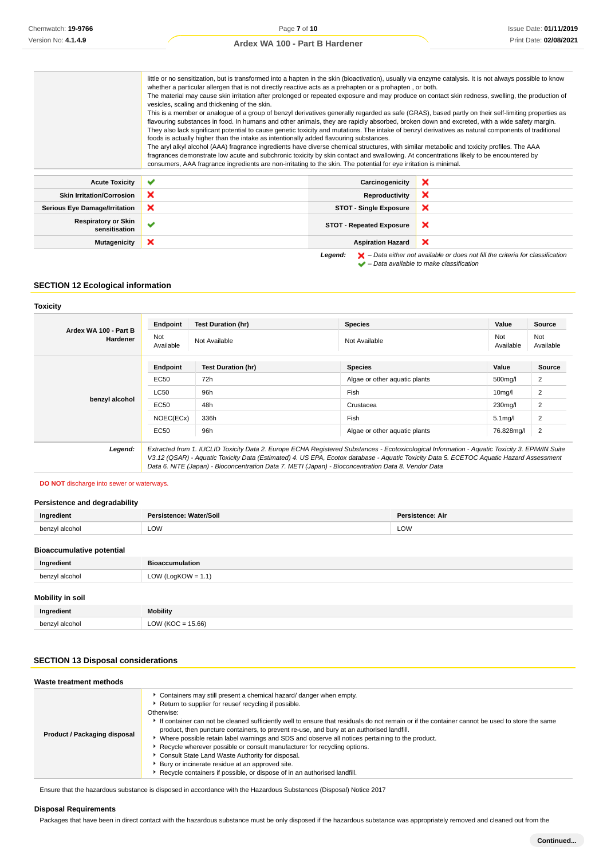little or no sensitization, but is transformed into a hapten in the skin (bioactivation), usually via enzyme catalysis. It is not always possible to know

|                                             | THUS OF HO SSISTINGLY, DULIS TRAISIONISCHE THU A HADISH IN THE SNIT (DIOACHVAHOH), USUAHY VIA SHZYHIS CALAHYSIS. IL IS HOL AHWAYS DOSSIDIS TO NHOW<br>whether a particular allergen that is not directly reactive acts as a prehapten or a prohapten, or both.<br>The material may cause skin irritation after prolonged or repeated exposure and may produce on contact skin redness, swelling, the production of<br>vesicles, scaling and thickening of the skin.<br>This is a member or analogue of a group of benzyl derivatives generally regarded as safe (GRAS), based partly on their self-limiting properties as<br>flavouring substances in food. In humans and other animals, they are rapidly absorbed, broken down and excreted, with a wide safety margin.<br>They also lack significant potential to cause genetic toxicity and mutations. The intake of benzyl derivatives as natural components of traditional<br>foods is actually higher than the intake as intentionally added flavouring substances.<br>The aryl alkyl alcohol (AAA) fragrance ingredients have diverse chemical structures, with similar metabolic and toxicity profiles. The AAA<br>fragrances demonstrate low acute and subchronic toxicity by skin contact and swallowing. At concentrations likely to be encountered by<br>consumers, AAA fragrance ingredients are non-irritating to the skin. The potential for eye irritation is minimal. |                                 |                                                                                                                                                                     |
|---------------------------------------------|----------------------------------------------------------------------------------------------------------------------------------------------------------------------------------------------------------------------------------------------------------------------------------------------------------------------------------------------------------------------------------------------------------------------------------------------------------------------------------------------------------------------------------------------------------------------------------------------------------------------------------------------------------------------------------------------------------------------------------------------------------------------------------------------------------------------------------------------------------------------------------------------------------------------------------------------------------------------------------------------------------------------------------------------------------------------------------------------------------------------------------------------------------------------------------------------------------------------------------------------------------------------------------------------------------------------------------------------------------------------------------------------------------------------------------------|---------------------------------|---------------------------------------------------------------------------------------------------------------------------------------------------------------------|
| <b>Acute Toxicity</b>                       | $\checkmark$                                                                                                                                                                                                                                                                                                                                                                                                                                                                                                                                                                                                                                                                                                                                                                                                                                                                                                                                                                                                                                                                                                                                                                                                                                                                                                                                                                                                                           | Carcinogenicity                 | ×                                                                                                                                                                   |
| <b>Skin Irritation/Corrosion</b>            | ×                                                                                                                                                                                                                                                                                                                                                                                                                                                                                                                                                                                                                                                                                                                                                                                                                                                                                                                                                                                                                                                                                                                                                                                                                                                                                                                                                                                                                                      | Reproductivity                  | ×                                                                                                                                                                   |
| <b>Serious Eye Damage/Irritation</b>        | ×                                                                                                                                                                                                                                                                                                                                                                                                                                                                                                                                                                                                                                                                                                                                                                                                                                                                                                                                                                                                                                                                                                                                                                                                                                                                                                                                                                                                                                      | <b>STOT - Single Exposure</b>   | ×                                                                                                                                                                   |
| <b>Respiratory or Skin</b><br>sensitisation |                                                                                                                                                                                                                                                                                                                                                                                                                                                                                                                                                                                                                                                                                                                                                                                                                                                                                                                                                                                                                                                                                                                                                                                                                                                                                                                                                                                                                                        | <b>STOT - Repeated Exposure</b> | ×                                                                                                                                                                   |
| <b>Mutagenicity</b>                         | ×                                                                                                                                                                                                                                                                                                                                                                                                                                                                                                                                                                                                                                                                                                                                                                                                                                                                                                                                                                                                                                                                                                                                                                                                                                                                                                                                                                                                                                      | <b>Aspiration Hazard</b>        | ×                                                                                                                                                                   |
|                                             |                                                                                                                                                                                                                                                                                                                                                                                                                                                                                                                                                                                                                                                                                                                                                                                                                                                                                                                                                                                                                                                                                                                                                                                                                                                                                                                                                                                                                                        | Legend:                         | $\blacktriangleright$ – Data either not available or does not fill the criteria for classification<br>$\blacktriangleright$ - Data available to make classification |

**SECTION 12 Ecological information**

## **Toxicity**

| Ardex WA 100 - Part B | Endpoint         | <b>Test Duration (hr)</b>                                                                                                                                                                                                                                                                                                                                                                       | <b>Species</b>                | Value                | Source           |
|-----------------------|------------------|-------------------------------------------------------------------------------------------------------------------------------------------------------------------------------------------------------------------------------------------------------------------------------------------------------------------------------------------------------------------------------------------------|-------------------------------|----------------------|------------------|
| Hardener              | Not<br>Available | Not Available                                                                                                                                                                                                                                                                                                                                                                                   | Not Available                 | Not<br>Available     | Not<br>Available |
|                       | Endpoint         | <b>Test Duration (hr)</b>                                                                                                                                                                                                                                                                                                                                                                       | <b>Species</b>                | Value                | Source           |
|                       | EC50             | 72h                                                                                                                                                                                                                                                                                                                                                                                             | Algae or other aguatic plants | 500mg/l              | 2                |
|                       | <b>LC50</b>      | 96h                                                                                                                                                                                                                                                                                                                                                                                             | Fish                          | 10 <sub>mq</sub> /I  | 2                |
| benzyl alcohol        | EC50             | 48h                                                                                                                                                                                                                                                                                                                                                                                             | Crustacea                     | 230mg/l              | 2                |
|                       | NOEC(ECx)        | 336h                                                                                                                                                                                                                                                                                                                                                                                            | Fish                          | 5.1 <sub>mq</sub> /I | 2                |
|                       | EC50             | 96h                                                                                                                                                                                                                                                                                                                                                                                             | Algae or other aquatic plants | 76.828mg/l           | 2                |
| Legend:               |                  | Extracted from 1. IUCLID Toxicity Data 2. Europe ECHA Registered Substances - Ecotoxicological Information - Aquatic Toxicity 3. EPIWIN Suite<br>V3.12 (QSAR) - Aquatic Toxicity Data (Estimated) 4. US EPA, Ecotox database - Aquatic Toxicity Data 5. ECETOC Aquatic Hazard Assessment<br>Data 6. NITE (Japan) - Bioconcentration Data 7. METI (Japan) - Bioconcentration Data 8. Vendor Data |                               |                      |                  |

#### **DO NOT** discharge into sewer or waterways.

#### **Persistence and degradability**

| Ingredient                       | Persistence: Water/Soil | Persistence: Air |
|----------------------------------|-------------------------|------------------|
| benzyl alcohol                   | ∟OW                     | LOW              |
| <b>Bioaccumulative notential</b> |                         |                  |

#### **Bioaccumulative potential**

| Ingredient              | <b>Bioaccumulation</b> |  |
|-------------------------|------------------------|--|
| benzyl alcohol          | LOW (LogKOW = $1.1$ )  |  |
| <b>Mobility in soil</b> |                        |  |
| Ingredient              | <b>Mobility</b>        |  |
| benzyl alcohol          | LOW (KOC = $15.66$ )   |  |

## **SECTION 13 Disposal considerations**

| Waste treatment methods      |                                                                                                                                                                                                                                                                                                                                                                                                                                                                                                                                                                                                                                                                                                                                                                  |
|------------------------------|------------------------------------------------------------------------------------------------------------------------------------------------------------------------------------------------------------------------------------------------------------------------------------------------------------------------------------------------------------------------------------------------------------------------------------------------------------------------------------------------------------------------------------------------------------------------------------------------------------------------------------------------------------------------------------------------------------------------------------------------------------------|
| Product / Packaging disposal | • Containers may still present a chemical hazard/ danger when empty.<br>▶ Return to supplier for reuse/ recycling if possible.<br>Otherwise:<br>If container can not be cleaned sufficiently well to ensure that residuals do not remain or if the container cannot be used to store the same<br>product, then puncture containers, to prevent re-use, and bury at an authorised landfill.<br>▶ Where possible retain label warnings and SDS and observe all notices pertaining to the product.<br>Recycle wherever possible or consult manufacturer for recycling options.<br>Consult State Land Waste Authority for disposal.<br>Bury or incinerate residue at an approved site.<br>▶ Recycle containers if possible, or dispose of in an authorised landfill. |

Ensure that the hazardous substance is disposed in accordance with the Hazardous Substances (Disposal) Notice 2017

# **Disposal Requirements**

Packages that have been in direct contact with the hazardous substance must be only disposed if the hazardous substance was appropriately removed and cleaned out from the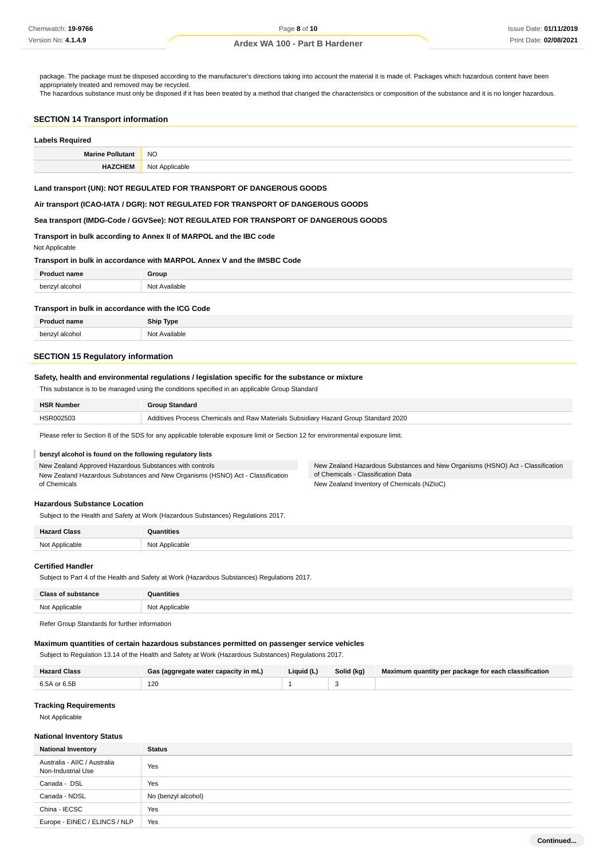package. The package must be disposed according to the manufacturer's directions taking into account the material it is made of. Packages which hazardous content have been appropriately treated and removed may be recycled.

The hazardous substance must only be disposed if it has been treated by a method that changed the characteristics or composition of the substance and it is no longer hazardous.

#### **SECTION 14 Transport information**

| <b>Labels Required</b>  |                                                                                                                                                        |
|-------------------------|--------------------------------------------------------------------------------------------------------------------------------------------------------|
| <b>Marine Pollutant</b> | <b>NO</b>                                                                                                                                              |
| <b>HAZCHEM</b>          | Not Applicable                                                                                                                                         |
|                         | Land transport (UN): NOT REGULATED FOR TRANSPORT OF DANGEROUS GOODS<br>Air transport (ICAO-IATA / DGR): NOT REGULATED FOR TRANSPORT OF DANGEROUS GOODS |

**Sea transport (IMDG-Code / GGVSee): NOT REGULATED FOR TRANSPORT OF DANGEROUS GOODS**

# **Transport in bulk according to Annex II of MARPOL and the IBC code**

Not Applicable

### **Transport in bulk in accordance with MARPOL Annex V and the IMSBC Code**

| <b>Proc</b>    | Group                                     |
|----------------|-------------------------------------------|
| benzyl alcohol | ∴ ^≅ailable<br>Nl∩t<br>.<br>$\sim$ $\sim$ |
|                |                                           |

## **Transport in bulk in accordance with the ICG Code**

| <b>Dro</b>                                                     | <b>Ship Type</b> |
|----------------------------------------------------------------|------------------|
| N <sub>Io</sub><br>han<br>aloobol<br>יטע<br>$\sim$ $\sim$<br>. | ≅ilable.<br>.    |

# **SECTION 15 Regulatory information**

# **Safety, health and environmental regulations / legislation specific for the substance or mixture**

This substance is to be managed using the conditions specified in an applicable Group Standard

| <b>HSR Number</b> | <b>Group Standard</b>                                                               |
|-------------------|-------------------------------------------------------------------------------------|
| HSR002503         | Additives Process Chemicals and Raw Materials Subsidiary Hazard Group Standard 2020 |
|                   |                                                                                     |

Please refer to Section 8 of the SDS for any applicable tolerable exposure limit or Section 12 for environmental exposure limit.

### **benzyl alcohol is found on the following regulatory lists**

New Zealand Approved Hazardous Substances with controls New Zealand Hazardous Substances and New Organisms (HSNO) Act - Classification

New Zealand Hazardous Substances and New Organisms (HSNO) Act - Classification of Chemicals - Classification Data New Zealand Inventory of Chemicals (NZIoC)

# **Hazardous Substance Location**

Subject to the Health and Safety at Work (Hazardous Substances) Regulations 2017.

| <b>Hazard Class</b> | Quantities     |
|---------------------|----------------|
| Not Applicable      | Not Applicable |

### **Certified Handler**

of Chemicals

Subject to Part 4 of the Health and Safety at Work (Hazardous Substances) Regulations 2017.

| <b>Class of substance</b> | <b>Quantities</b> |
|---------------------------|-------------------|
| Not Applicable            | Not Applicable    |
|                           |                   |

Refer Group Standards for further information

# **Maximum quantities of certain hazardous substances permitted on passenger service vehicles**

Subject to Regulation 13.14 of the Health and Safety at Work (Hazardous Substances) Regulations 2017.

| <b>Hazard Class</b> | Gas (aggregate water capacity in mL) | Liquid (L) | Solid (kg) | Maximum quantity per package for each classification |
|---------------------|--------------------------------------|------------|------------|------------------------------------------------------|
| 6.5A or 6.5B        | 120                                  |            |            |                                                      |

#### **Tracking Requirements**

Not Applicable

#### **National Inventory Status**

| <b>National Inventory</b>                          | <b>Status</b>       |
|----------------------------------------------------|---------------------|
| Australia - AIIC / Australia<br>Non-Industrial Use | Yes                 |
| Canada - DSL                                       | Yes                 |
| Canada - NDSL                                      | No (benzyl alcohol) |
| China - IECSC                                      | Yes                 |
| Europe - EINEC / ELINCS / NLP                      | Yes                 |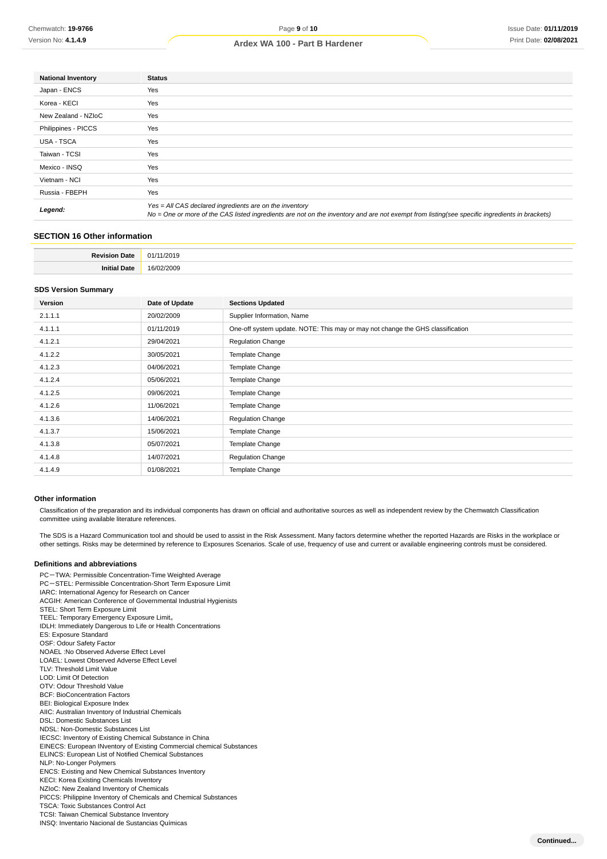| <b>National Inventory</b> | <b>Status</b>                                                                                                                                                                                            |
|---------------------------|----------------------------------------------------------------------------------------------------------------------------------------------------------------------------------------------------------|
| Japan - ENCS              | Yes                                                                                                                                                                                                      |
| Korea - KECI              | Yes                                                                                                                                                                                                      |
| New Zealand - NZIoC       | Yes                                                                                                                                                                                                      |
| Philippines - PICCS       | Yes                                                                                                                                                                                                      |
| <b>USA - TSCA</b>         | Yes                                                                                                                                                                                                      |
| Taiwan - TCSI             | Yes                                                                                                                                                                                                      |
| Mexico - INSQ             | Yes                                                                                                                                                                                                      |
| Vietnam - NCI             | Yes                                                                                                                                                                                                      |
| Russia - FBEPH            | Yes                                                                                                                                                                                                      |
| Legend:                   | Yes = All CAS declared ingredients are on the inventory<br>No = One or more of the CAS listed ingredients are not on the inventory and are not exempt from listing(see specific ingredients in brackets) |
|                           |                                                                                                                                                                                                          |

# **SECTION 16 Other information**

| יי |
|----|

#### **SDS Version Summary**

| Version | Date of Update | <b>Sections Updated</b>                                                        |
|---------|----------------|--------------------------------------------------------------------------------|
| 2.1.1.1 | 20/02/2009     | Supplier Information, Name                                                     |
| 4.1.1.1 | 01/11/2019     | One-off system update. NOTE: This may or may not change the GHS classification |
| 4.1.2.1 | 29/04/2021     | <b>Regulation Change</b>                                                       |
| 4.1.2.2 | 30/05/2021     | Template Change                                                                |
| 4.1.2.3 | 04/06/2021     | Template Change                                                                |
| 4.1.2.4 | 05/06/2021     | Template Change                                                                |
| 4.1.2.5 | 09/06/2021     | Template Change                                                                |
| 4.1.2.6 | 11/06/2021     | Template Change                                                                |
| 4.1.3.6 | 14/06/2021     | <b>Regulation Change</b>                                                       |
| 4.1.3.7 | 15/06/2021     | Template Change                                                                |
| 4.1.3.8 | 05/07/2021     | Template Change                                                                |
| 4.1.4.8 | 14/07/2021     | <b>Regulation Change</b>                                                       |
| 4.1.4.9 | 01/08/2021     | Template Change                                                                |

#### **Other information**

Classification of the preparation and its individual components has drawn on official and authoritative sources as well as independent review by the Chemwatch Classification committee using available literature references.

The SDS is a Hazard Communication tool and should be used to assist in the Risk Assessment. Many factors determine whether the reported Hazards are Risks in the workplace or other settings. Risks may be determined by reference to Exposures Scenarios. Scale of use, frequency of use and current or available engineering controls must be considered.

## **Definitions and abbreviations**

PC-TWA: Permissible Concentration-Time Weighted Average PC-STEL: Permissible Concentration-Short Term Exposure Limit IARC: International Agency for Research on Cancer ACGIH: American Conference of Governmental Industrial Hygienists STEL: Short Term Exposure Limit TEEL: Temporary Emergency Exposure Limit。 IDLH: Immediately Dangerous to Life or Health Concentrations ES: Exposure Standard OSF: Odour Safety Factor NOAEL :No Observed Adverse Effect Level LOAEL: Lowest Observed Adverse Effect Level TLV: Threshold Limit Value LOD: Limit Of Detection OTV: Odour Threshold Value BCF: BioConcentration Factors BEI: Biological Exposure Index AIIC: Australian Inventory of Industrial Chemicals DSL: Domestic Substances List NDSL: Non-Domestic Substances List IECSC: Inventory of Existing Chemical Substance in China EINECS: European INventory of Existing Commercial chemical Substances ELINCS: European List of Notified Chemical Substances NLP: No-Longer Polymers ENCS: Existing and New Chemical Substances Inventory KECI: Korea Existing Chemicals Inventory NZIoC: New Zealand Inventory of Chemicals PICCS: Philippine Inventory of Chemicals and Chemical Substances TSCA: Toxic Substances Control Act TCSI: Taiwan Chemical Substance Inventory INSQ: Inventario Nacional de Sustancias Químicas